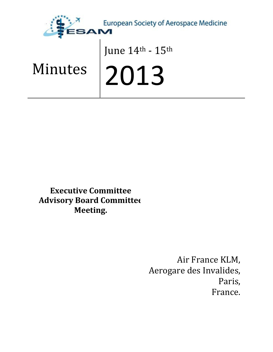

# June 14th - 15th

# Minutes

2013

Executive Committee Advisory Board Committee Meeting.

> Air France KLM, Aerogare des Invalides, Paris, France.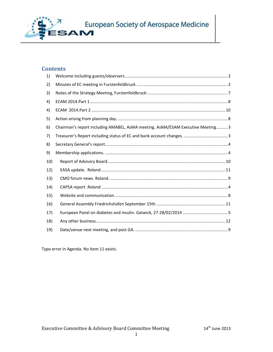

### **Contents**

| 1)  |                                                                                 |
|-----|---------------------------------------------------------------------------------|
| 2)  |                                                                                 |
| 3)  |                                                                                 |
| 4)  |                                                                                 |
| 4)  |                                                                                 |
| 5)  |                                                                                 |
| 6)  | Chairman's report including AMABEL, AsMA meeting. AsMA/ESAM Executive Meeting 3 |
| 7)  |                                                                                 |
| 8)  |                                                                                 |
| 9)  |                                                                                 |
| 10) |                                                                                 |
| 12) |                                                                                 |
| 13) |                                                                                 |
| 14) |                                                                                 |
| 15) |                                                                                 |
| 16) |                                                                                 |
| 17) |                                                                                 |
| 18) |                                                                                 |
| 19) |                                                                                 |

Typo error in Agenda. No Item 11 exists.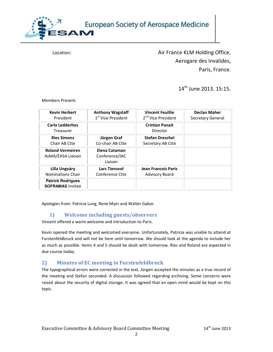

Location: **Air France KLM Holding Office,** Aerogare des Invalides, Paris, France.

14<sup>th</sup> June 2013, 15:15.

Members Present:

| <b>Kevin Herbert</b>                                | <b>Anthony Wagstaff</b>                    | <b>Vincent Feuillie</b>            | <b>Declan Maher</b>      |
|-----------------------------------------------------|--------------------------------------------|------------------------------------|--------------------------|
| President                                           | 1 <sup>st</sup> Vice President             | 2 <sup>nd</sup> Vice President     | <b>Secretary General</b> |
| <b>Carla Ledderhos</b><br>Treasurer                 |                                            | <b>Cristian Panait</b><br>Director |                          |
| <b>Ries Simons</b>                                  | Jürgen Graf                                | <b>Stefan Dreschel</b>             |                          |
| Chair AB Ctte                                       | Co-chair AB Ctte                           | Secretary AB Ctte                  |                          |
| <b>Roland Vermeiren</b><br>AsMA/EASA Liaison        | Elena Cataman<br>Conference/IAC<br>Liaison |                                    |                          |
| Lilla Ungváry                                       | <b>Lars Tiensvol</b>                       | <b>Jean Francois Paris</b>         |                          |
| <b>Nominations Chair</b>                            | Conference Ctte                            | <b>Advisory Board</b>              |                          |
| <b>Patrick Rodrigues</b><br><b>SOFRAMAS Invitee</b> |                                            |                                    |                          |

Apologies from: Patricia Lung, René Myer and Walter Gabor.

#### 1) Welcome including guests/observers

Vincent offered a warm welcome and introduction to Paris.

Kevin opened the meeting and welcomed everyone. Unfortunately, Patricia was unable to attend at Furstenfeldbruck and will not be here until tomorrow. We should look at the agenda to include her as much as possible. Items 4 and 5 should be dealt with tomorrow. Ries and Roland are expected in due course today.

### 2) Minutes of EC meeting in Furstenfeldbruck

The typographical errors were corrected in the text. Jürgen accepted the minutes as a true record of the meeting and Stefan seconded. A discussion followed regarding archiving. Some concerns were raised about the security of digital storage. It was agreed that an open mind would be kept on this topic.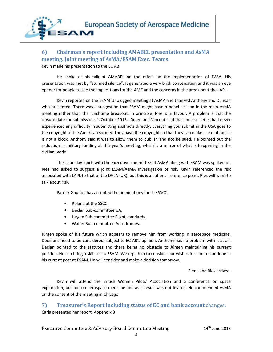

# 6) Chairman's report including AMABEL presentation and AsMA meeting. Joint meeting of AsMA/ESAM Exec. Teams.

Kevin made his presentation to the EC AB.

He spoke of his talk at AMABEL on the effect on the implementation of EASA. His presentation was met by "stunned silence". It generated a very brisk conversation and it was an eye opener for people to see the implications for the AME and the concerns in the area about the LAPL.

Kevin reported on the ESAM Unplugged meeting at AsMA and thanked Anthony and Duncan who presented. There was a suggestion that ESAM might have a panel session in the main AsMA meeting rather than the lunchtime breakout. In principle, Ries is in favour. A problem is that the closure date for submissions is October 2013. Jürgen and Vincent said that their societies had never experienced any difficulty in submitting abstracts directly. Everything you submit in the USA goes to the copyright of the American society. They have the copyright so that they can make use of it, but it is not a block. Anthony said it was to allow them to publish and not be sued. He pointed out the reduction in military funding at this year's meeting, which is a mirror of what is happening in the civilian world.

The Thursday lunch with the Executive committee of AsMA along with ESAM was spoken of. Ries had asked to suggest a joint ESAM/AsMA investigation of risk. Kevin referenced the risk associated with LAPL to that of the DVLA (UK), but this is a national reference point. Ries will want to talk about risk.

Patrick Goudou has accepted the nominations for the SSCC.

- Roland at the SSCC.
- Declan Sub-committee GA,
- Jürgen Sub-committee Flight standards.
- Walter Sub-committee Aerodromes.

Jürgen spoke of his future which appears to remove him from working in aerospace medicine. Decisions need to be considered, subject to EC-AB's opinion. Anthony has no problem with it at all. Declan pointed to the statutes and there being no obstacle to Jürgen maintaining his current position. He can bring a skill set to ESAM. We urge him to consider our wishes for him to continue in his current post at ESAM. He will consider and make a decision tomorrow.

Elena and Ries arrived.

Kevin will attend the British Women Pilots' Association and a conference on space exploration, but not on aerospace medicine and as a result was not invited. He commended AsMA on the content of the meeting in Chicago.

## 7) Treasurer's Report including status of EC and bank account changes. Carla presented her report. Appendix B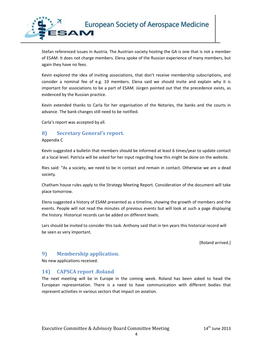

Stefan referenced issues in Austria. The Austrian society hosting the GA is one that is not a member of ESAM. It does not charge members. Elena spoke of the Russian experience of many members, but again they have no fees.

Kevin explored the idea of inviting associations, that don't receive membership subscriptions, and consider a nominal fee of e.g. 10 members. Elena said we should invite and explain why it is important for associations to be a part of ESAM. Jürgen pointed out that the precedence exists, as evidenced by the Russian practice.

Kevin extended thanks to Carla for her organisation of the Notaries, the banks and the courts in advance. The bank changes still need to be notified.

Carla's report was accepted by all.

#### 8) Secretary General's report.

Appendix C

Kevin suggested a bulletin that members should be informed at least 6 times/year to update contact at a local level. Patricia will be asked for her input regarding how this might be done on the website.

Ries said: "As a society, we need to be in contact and remain in contact. Otherwise we are a dead society.

Chatham house rules apply to the Strategy Meeting Report. Consideration of the document will take place tomorrow.

Elena suggested a history of ESAM presented as a timeline, showing the growth of members and the events. People will not read the minutes of previous events but will look at such a page displaying the history. Historical records can be added on different levels.

Lars should be invited to consider this task. Anthony said that in ten years this historical record will be seen as very important.

[Roland arrived.]

#### 9) Membership application.

No new applications received.

#### 14) CAPSCA report .Roland

The next meeting will be in Europe in the coming week. Roland has been asked to head the European representation. There is a need to have communication with different bodies that represent activities in various sectors that impact on aviation.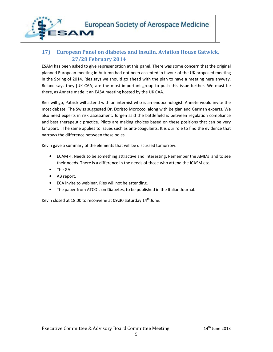

# 17) European Panel on diabetes and insulin. Aviation House Gatwick, 27/28 February 2014

ESAM has been asked to give representation at this panel. There was some concern that the original planned European meeting in Autumn had not been accepted in favour of the UK proposed meeting in the Spring of 2014. Ries says we should go ahead with the plan to have a meeting here anyway. Roland says they [UK CAA] are the most important group to push this issue further. We must be there, as Annete made it an EASA meeting hosted by the UK CAA.

Ries will go, Patrick will attend with an internist who is an endocrinologist. Annete would invite the most debate. The Swiss suggested Dr. Doristo Morocco, along with Belgian and German experts. We also need experts in risk assessment. Jürgen said the battlefield is between regulation compliance and best therapeutic practice. Pilots are making choices based on these positions that can be very far apart. . The same applies to issues such as anti-coagulants. It is our role to find the evidence that narrows the difference between these poles.

Kevin gave a summary of the elements that will be discussed tomorrow.

- ECAM 4. Needs to be something attractive and interesting. Remember the AME's and to see their needs. There is a difference in the needs of those who attend the ICASM etc.
- The GA.
- AB report.
- ECA invite to webinar. Ries will not be attending.
- The paper from ATCO's on Diabetes, to be published in the Italian Journal.

Kevin closed at 18:00 to reconvene at 09:30 Saturday 14<sup>th</sup> June.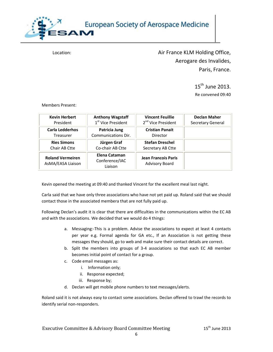

Location: **Air France KLM Holding Office,** Aerogare des Invalides, Paris, France.

> $15^{th}$  June 2013. Re convened 09:40

Members Present:

| <b>Kevin Herbert</b>                         | <b>Anthony Wagstaff</b>                    | <b>Vincent Feuillie</b>                             | <b>Declan Maher</b>      |
|----------------------------------------------|--------------------------------------------|-----------------------------------------------------|--------------------------|
| President                                    | 1 <sup>st</sup> Vice President             | 2 <sup>nd</sup> Vice President                      | <b>Secretary General</b> |
| <b>Carla Ledderhos</b>                       | Patricia Jung                              | <b>Cristian Panait</b>                              |                          |
| Treasurer                                    | Communications Dir.                        | Director                                            |                          |
| <b>Ries Simons</b>                           | Jürgen Graf                                | <b>Stefan Dreschel</b>                              |                          |
| Chair AB Ctte                                | Co-chair AB Ctte                           | Secretary AB Ctte                                   |                          |
| <b>Roland Vermeiren</b><br>AsMA/EASA Liaison | Elena Cataman<br>Conference/IAC<br>Liaison | <b>Jean Francois Paris</b><br><b>Advisory Board</b> |                          |

Kevin opened the meeting at 09:40 and thanked Vincent for the excellent meal last night.

Carla said that we have only three associations who have not yet paid up. Roland said that we should contact those in the associated membera that are not fully paid up.

Following Declan's audit it is clear that there are difficulties in the communications within the EC AB and with the associations. We decided that we would do 4 things:

- a. Messaging:-This is a problem. Advise the associations to expect at least 4 contacts per year e.g. Formal agenda for GA etc., If an Association is not getting these messages they should, go to web and make sure their contact details are correct.
- b. Split the members into groups of 3-4 associations so that each EC AB member becomes initial point of contact for a group.
- c. Code email messages as:
	- i. Information only;
	- ii. Response expected;
	- iii. Response by;
- d. Declan will get mobile phone numbers to text messages/alerts.

Roland said it is not always easy to contact some associations. Declan offered to trawl the records to identify serial non-responders.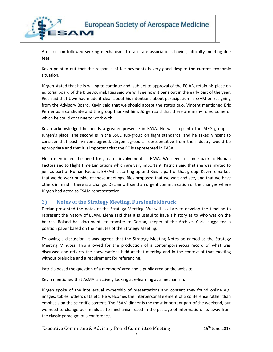

A discussion followed seeking mechanisms to facilitate associations having difficulty meeting due fees.

Kevin pointed out that the response of fee payments is very good despite the current economic situation.

Jürgen stated that he is willing to continue and, subject to approval of the EC AB, retain his place on editorial board of the Blue Journal. Ries said we will see how it pans out in the early part of the year. Ries said that Uwe had made it clear about his intentions about participation in ESAM on resigning from the Advisory Board. Kevin said that we should accept the status quo. Vincent mentioned Eric Perrier as a candidate and the group thanked him. Jürgen said that there are many roles, some of which he could continue to work with.

Kevin acknowledged he needs a greater presence in EASA. He will step into the MEG group in Jürgen's place. The second is in the SSCC sub-group on flight standards, and he asked Vincent to consider that post. Vincent agreed. Jürgen agreed a representative from the industry would be appropriate and that it is important that the EC is represented in EASA.

Elena mentioned the need for greater involvement at EASA. We need to come back to Human Factors and to Flight Time Limitations which are very important. Patricia said that she was invited to join as part of Human Factors. EHFAG is starting up and Ries is part of that group. Kevin remarked that we do work outside of these meetings. Ries proposed that we wait and see, and that we have others in mind if there is a change. Declan will send an urgent communication of the changes where Jürgen had acted as ESAM representative.

#### 3) Notes of the Strategy Meeting, Furstenfeldbruck:

Declan presented the notes of the Strategy Meeting. We will ask Lars to develop the timeline to represent the history of ESAM. Elena said that it is useful to have a history as to who was on the boards. Roland has documents to transfer to Declan, keeper of the Archive. Carla suggested a position paper based on the minutes of the Strategy Meeting.

Following a discussion, it was agreed that the Strategy Meeting Notes be named as the Strategy Meeting Minutes. This allowed for the production of a contemporaneous record of what was discussed and reflects the conversations held at that meeting and in the context of that meeting without prejudice and a requirement for referencing.

Patricia posed the question of a members' area and a public area on the website.

Kevin mentioned that AsMA is actively looking at e-learning as a mechanism.

Jürgen spoke of the intellectual ownership of presentations and content they found online e.g. images, tables, others data etc. He welcomes the interpersonal element of a conference rather than emphasis on the scientific content. The ESAM dinner is the most important part of the weekend, but we need to change our minds as to mechanism used in the passage of information, i.e. away from the classic paradigm of a conference.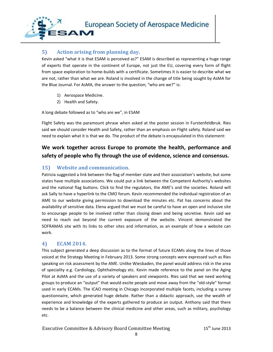

### 5) Action arising from planning day.

Kevin asked "what it is that ESAM is perceived as?" ESAM is described as representing a huge range of experts that operate in the continent of Europe, not just the EU, covering every form of flight from space exploration to home-builds with a certificate. Sometimes it is easier to describe what we are not, rather than what we are. Roland is involved in the change of title being sought by AsMA for the Blue Journal. For AsMA, the answer to the question; "who are we?" is:

- 1) Aerospace Medicine.
- 2) Health and Safety.

A long debate followed as to "who are we", in ESAM

Flight Safety was the paramount phrase when asked at the poster session in Furstenfeldbruk. Ries said we should consider Health and Safety, rather than an emphasis on Flight safety. Roland said we need to explain what it is that we do. The product of the debate is encapsulated in this statement:

# We work together across Europe to promote the health, performance and safety of people who fly through the use of evidence, science and consensus.

#### 15) Website and communication.

Patricia suggested a link between the flag of member state and their association's website, but some states have multiple associations. We could put a link between the Competent Authority's websites and the national flag buttons. Click to find the regulators, the AME's and the societies. Roland will ask Sally to have a hyperlink to the CMO forum. Kevin recommended the individual registration of an AME to our website giving permission to download the minutes etc. Pat has concerns about the availability of sensitive data. Elena argued that we must be careful to have an open and inclusive site to encourage people to be involved rather than closing down and being secretive. Kevin said we need to reach out beyond the current exposure of the website. Vincent demonstrated the SOFRAMAS site with its links to other sites and information, as an example of how a website can work.

#### 4) ECAM 2014.

This subject generated a deep discussion as to the format of future ECAMs along the lines of those voiced at the Strategy Meeting in February 2013. Some strong concepts were expressed such as Ries speaking on risk assessment by the AME. Unlike Wiesbaden, the panel would address risk in the area of speciality e.g. Cardiology, Ophthalmology etc. Kevin made reference to the panel on the Aging Pilot at AsMA and the use of a variety of speakers and viewpoints. RIes said that we need working groups to produce an "output" that would excite people and move away from the "old-style" format used in early ECAMs. The ICAO meeting in Chicago incorporated multiple facets, including a survey questionnaire, which generated huge debate. Rather than a didactic approach, use the wealth of experience and knowledge of the experts gathered to produce an output. Anthony said that there needs to be a balance between the clinical medicine and other areas, such as military, psychology etc.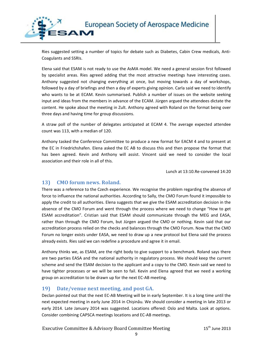

Ries suggested setting a number of topics for debate such as Diabetes, Cabin Crew medicals, Anti-Coagulants and SSRIs.

Elena said that ESAM is not ready to use the AsMA model. We need a general session first followed by specialist areas. Ries agreed adding that the most attractive meetings have interesting cases. Anthony suggested not changing everything at once, but moving towards a day of workshops, followed by a day of briefings and then a day of experts giving opinion. Carla said we need to identify who wants to be at ECAM. Kevin summarised. Publish a number of issues on the website seeking input and ideas from the members in advance of the ECAM. Jürgen argued the attendees dictate the content. He spoke about the meeting in Zult. Anthony agreed with Roland on the format being over three days and having time for group discussions.

A straw poll of the number of delegates anticipated at ECAM 4. The average expected attendee count was 113, with a median of 120.

Anthony tasked the Conference Committee to produce a new format for EACM 4 and to present at the EC in Friedrichshafen. Elena asked the EC AB to discuss this and then propose the format that has been agreed. Kevin and Anthony will assist. Vincent said we need to consider the local association and their role in all of this.

Lunch at 13:10.Re-convened 14:20

#### 13) CMO forum news. Roland.

There was a reference to the Czech experience. We recognise the problem regarding the absence of force to influence the national authorities. According to Sally, the CMO Forum found it impossible to apply the credit to all authorities. Elena suggests that we give the ESAM accreditation decision in the absence of the CMO Forum and went through the process where we need to change "How to get ESAM accreditation". Cristian said that ESAM should communicate through the MEG and EASA, rather than through the CMO Forum, but Jürgen argued the CMO or nothing. Kevin said that our accreditation process relied on the checks and balances through the CMO Forum. Now that the CMO Forum no longer exists under EASA, we need to draw up a new protocol but Elena said the process already exists. Ries said we can redefine a procedure and agree it in email.

Anthony thinks we, as ESAM, are the right body to give support to a benchmark. Roland says there are two parties EASA and the national authority in regulatory process. We should keep the current scheme and send the ESAM decision to the applicant and a copy to the CMO. Kevin said we need to have tighter processes or we will be seen to fail. Kevin and Elena agreed that we need a working group on accreditation to be drawn up for the next EC-AB meeting.

#### 19) Date/venue next meeting, and post GA.

Declan pointed out that the next EC-AB Meeting will be in early September. It is a long time until the next expected meeting in early June 2014 in Chișinău. We should consider a meeting in late 2013 or early 2014. Late January 2014 was suggested. Locations offered: Oslo and Malta. Look at options. Consider combining CAPSCA meetings locations and EC-AB meetings.

Executive Committee & Advisory Board Committee Meeting 15<sup>th</sup> June 2013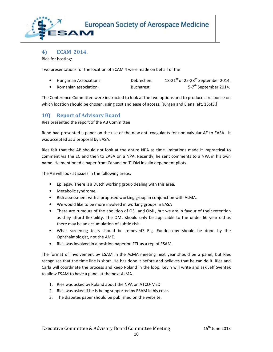

4) ECAM 2014.

Bids for hosting:

Two presentations for the location of ECAM 4 were made on behalf of the

| <b>Hungarian Associations</b> | Debrechen.       | 18-21 <sup>st</sup> or 25-28 <sup>th</sup> September 2014. |
|-------------------------------|------------------|------------------------------------------------------------|
| Romanian association.         | <b>Bucharest</b> | 5-7 <sup>th</sup> September 2014.                          |

The Conference Committee were instructed to look at the two options and to produce a response on which location should be chosen, using cost and ease of access. [Jürgen and Elena left. 15:45.]

#### 10) Report of Advisory Board

Ries presented the report of the AB Committee

René had presented a paper on the use of the new anti-coagulants for non valvular AF to EASA. It was accepted as a proposal by EASA.

Ries felt that the AB should not look at the entire NPA as time limitations made it impractical to comment via the EC and then to EASA on a NPA. Recently, he sent comments to a NPA in his own name. He mentioned a paper from Canada on T1DM insulin dependent pilots.

The AB will look at issues in the following areas:

- Epilepsy. There is a Dutch working group dealing with this area.
- Metabolic syndrome.
- Risk assessment with a proposed working group in conjunction with AsMA.
- We would like to be more involved in working groups in EASA
- There are rumours of the abolition of OSL and OML, but we are in favour of their retention as they afford flexibility. The OML should only be applicable to the under 60 year old as there may be an accumulation of subtle risk.
- What screening tests should be removed? E.g. Fundoscopy should be done by the Ophthalmologist, not the AME.
- Ries was involved in a position paper on FTL as a rep of ESAM.

The format of involvement by ESAM in the AsMA meeting next year should be a panel, but Ries recognises that the time line is short. He has done it before and believes that he can do it. Ries and Carla will coordinate the process and keep Roland in the loop. Kevin will write and ask Jeff Sventek to allow ESAM to have a panel at the next AsMA.

- 1. Ries was asked by Roland about the NPA on ATCO-MED
- 2. Ries was asked if he is being supported by ESAM in his costs.
- 3. The diabetes paper should be published on the website.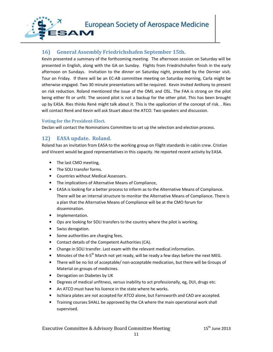

#### 16) General Assembly Friedrichshafen September 15th.

Kevin presented a summary of the forthcoming meeting. The afternoon session on Saturday will be presented in English, along with the GA on Sunday. Flights from Friedrichshafen finish in the early afternoon on Sundays. Invitation to the dinner on Saturday night, preceded by the Dornier visit. Tour on Friday. If there will be an EC-AB committee meeting on Saturday morning, Carla might be otherwise engaged. Two 30 minute presentations will be required. Kevin invited Anthony to present on risk reduction. Roland mentioned the issue of the OML and OSL. The FAA is strong on the pilot being either fit or unfit. The second pilot is not a backup for the other pilot. This has been brought up by EASA. Ries thinks René might talk about it. This is the application of the concept of risk. . Ries will contact René and Kevin will ask Stuart about the ATCO. Two speakers and discussion.

#### Voting for the President-Elect.

Declan will contact the Nominations Committee to set up the selection and election process.

#### 12) EASA update. Roland.

Roland has an invitation from EASA to the working group on Flight standards in cabin crew. Cristian and Vincent would be good representatives in this capacity. He reported recent activity by EASA.

- The last CMO meeting,
- The SOLI transfer forms.
- Countries without Medical Assessors.
- The implications of Alternative Means of Compliance,
- EASA is looking for a better process to inform as to the Alternative Means of Compliance. There will be an internal structure to monitor the Alternative Means of Compliance. There is a plan that the Alternative Means of Compliance will be at the CMO forum for dissemination.
- Implementation.
- Ops are looking for SOLI transfers to the country where the pilot is working.
- Swiss derogation.
- Some authorities are charging fees.
- Contact details of the Competent Authorities (CA).
- Change in SOLI transfer. Last exam with the relevant medical information.
- Minutes of the 4-5<sup>th</sup> March not yet ready, will be ready a few days before the next MEG.
- There will be no list of acceptable/ non-acceptable medication, but there will be Groups of Material on groups of medicines.
- Derogation on Diabetes by UK
- Degrees of medical unfitness, versus inability to act professionally, eg, DUI, drugs etc.
- An ATCO must have his licence in the state where he works.
- Ischiara plates are not accepted for ATCO alone, but Farnsworth and CAD are accepted.
- Training courses SHALL be approved by the CA where the main operational work shall supervised.